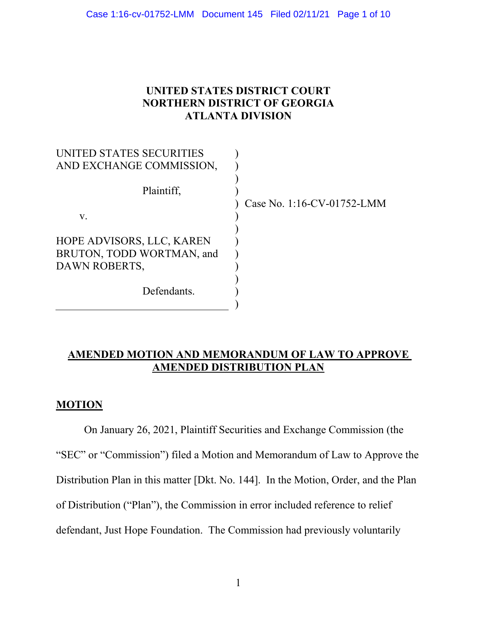# **UNITED STATES DISTRICT COURT NORTHERN DISTRICT OF GEORGIA ATLANTA DIVISION**

| UNITED STATES SECURITIES  |                            |
|---------------------------|----------------------------|
| AND EXCHANGE COMMISSION,  |                            |
| Plaintiff,                | Case No. 1:16-CV-01752-LMM |
| V.                        |                            |
|                           |                            |
| HOPE ADVISORS, LLC, KAREN |                            |
| BRUTON, TODD WORTMAN, and |                            |
| DAWN ROBERTS,             |                            |
|                           |                            |
| Defendants.               |                            |
|                           |                            |

# **AMENDED MOTION AND MEMORANDUM OF LAW TO APPROVE AMENDED DISTRIBUTION PLAN**

## **MOTION**

On January 26, 2021, Plaintiff Securities and Exchange Commission (the "SEC" or "Commission") filed a Motion and Memorandum of Law to Approve the Distribution Plan in this matter [Dkt. No. 144]. In the Motion, Order, and the Plan of Distribution ("Plan"), the Commission in error included reference to relief defendant, Just Hope Foundation. The Commission had previously voluntarily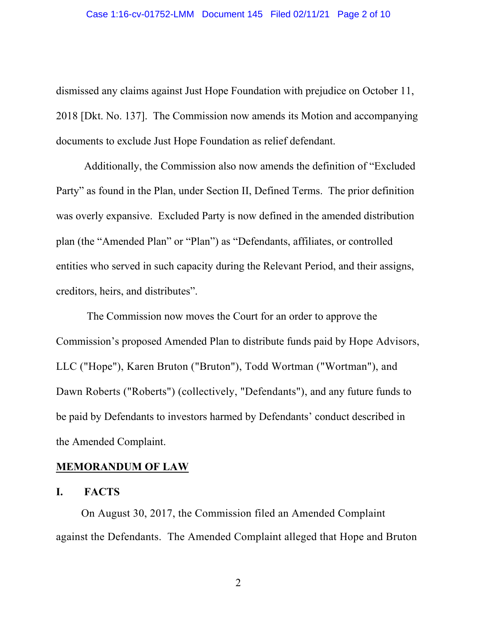dismissed any claims against Just Hope Foundation with prejudice on October 11, 2018 [Dkt. No. 137]. The Commission now amends its Motion and accompanying documents to exclude Just Hope Foundation as relief defendant.

Additionally, the Commission also now amends the definition of "Excluded Party" as found in the Plan, under Section II, Defined Terms. The prior definition was overly expansive. Excluded Party is now defined in the amended distribution plan (the "Amended Plan" or "Plan") as "Defendants, affiliates, or controlled entities who served in such capacity during the Relevant Period, and their assigns, creditors, heirs, and distributes".

The Commission now moves the Court for an order to approve the Commission's proposed Amended Plan to distribute funds paid by Hope Advisors, LLC ("Hope"), Karen Bruton ("Bruton"), Todd Wortman ("Wortman"), and Dawn Roberts ("Roberts") (collectively, "Defendants"), and any future funds to be paid by Defendants to investors harmed by Defendants' conduct described in the Amended Complaint.

### **MEMORANDUM OF LAW**

#### **I. FACTS**

On August 30, 2017, the Commission filed an Amended Complaint against the Defendants. The Amended Complaint alleged that Hope and Bruton

2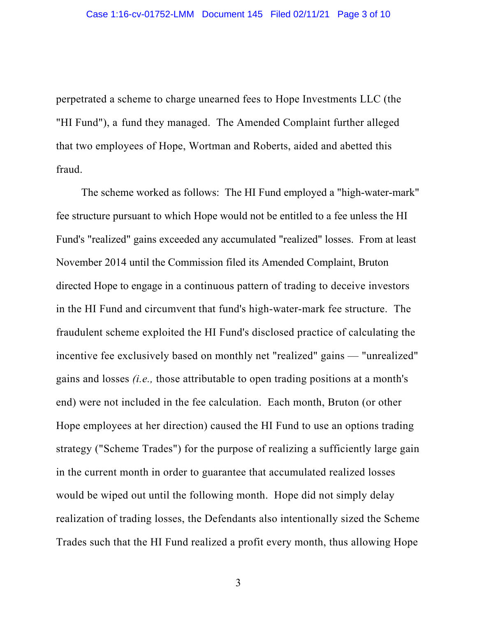perpetrated a scheme to charge unearned fees to Hope Investments LLC (the "HI Fund"), a fund they managed. The Amended Complaint further alleged that two employees of Hope, Wortman and Roberts, aided and abetted this fraud.

The scheme worked as follows: The HI Fund employed a "high-water-mark" fee structure pursuant to which Hope would not be entitled to a fee unless the HI Fund's "realized" gains exceeded any accumulated "realized" losses. From at least November 2014 until the Commission filed its Amended Complaint, Bruton directed Hope to engage in a continuous pattern of trading to deceive investors in the HI Fund and circumvent that fund's high-water-mark fee structure. The fraudulent scheme exploited the HI Fund's disclosed practice of calculating the incentive fee exclusively based on monthly net "realized" gains — "unrealized" gains and losses *(i.e.,* those attributable to open trading positions at a month's end) were not included in the fee calculation. Each month, Bruton (or other Hope employees at her direction) caused the HI Fund to use an options trading strategy ("Scheme Trades") for the purpose of realizing a sufficiently large gain in the current month in order to guarantee that accumulated realized losses would be wiped out until the following month. Hope did not simply delay realization of trading losses, the Defendants also intentionally sized the Scheme Trades such that the HI Fund realized a profit every month, thus allowing Hope

3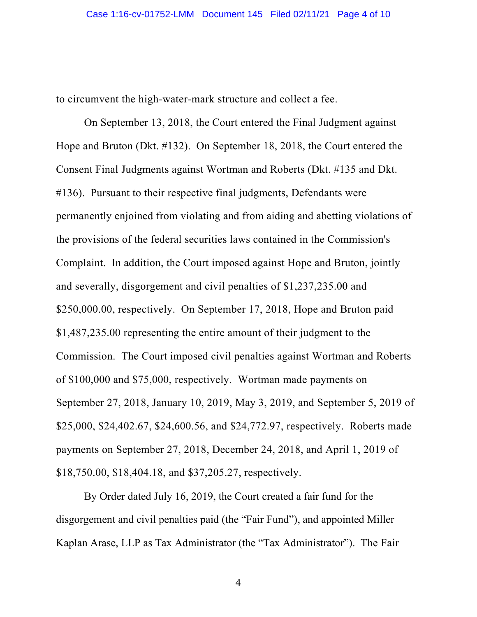to circumvent the high-water-mark structure and collect a fee.

On September 13, 2018, the Court entered the Final Judgment against Hope and Bruton (Dkt. #132). On September 18, 2018, the Court entered the Consent Final Judgments against Wortman and Roberts (Dkt. #135 and Dkt. #136). Pursuant to their respective final judgments, Defendants were permanently enjoined from violating and from aiding and abetting violations of the provisions of the federal securities laws contained in the Commission's Complaint. In addition, the Court imposed against Hope and Bruton, jointly and severally, disgorgement and civil penalties of \$1,237,235.00 and \$250,000.00, respectively. On September 17, 2018, Hope and Bruton paid \$1,487,235.00 representing the entire amount of their judgment to the Commission. The Court imposed civil penalties against Wortman and Roberts of \$100,000 and \$75,000, respectively. Wortman made payments on September 27, 2018, January 10, 2019, May 3, 2019, and September 5, 2019 of \$25,000, \$24,402.67, \$24,600.56, and \$24,772.97, respectively. Roberts made payments on September 27, 2018, December 24, 2018, and April 1, 2019 of \$18,750.00, \$18,404.18, and \$37,205.27, respectively.

By Order dated July 16, 2019, the Court created a fair fund for the disgorgement and civil penalties paid (the "Fair Fund"), and appointed Miller Kaplan Arase, LLP as Tax Administrator (the "Tax Administrator"). The Fair

4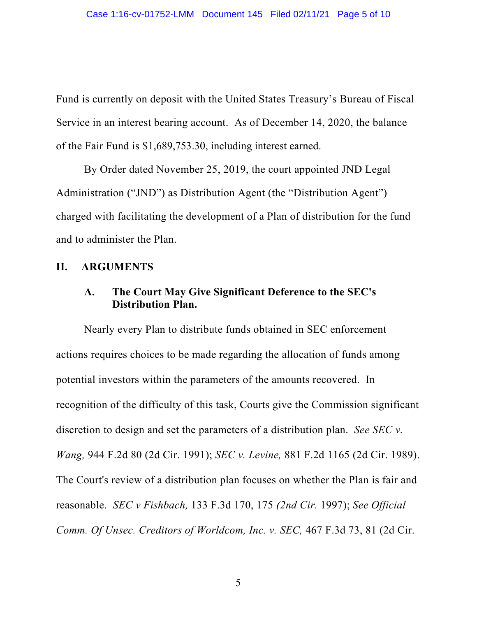Fund is currently on deposit with the United States Treasury's Bureau of Fiscal Service in an interest bearing account. As of December 14, 2020, the balance of the Fair Fund is \$1,689,753.30, including interest earned.

By Order dated November 25, 2019, the court appointed JND Legal Administration ("JND") as Distribution Agent (the "Distribution Agent") charged with facilitating the development of a Plan of distribution for the fund and to administer the Plan.

#### **II. ARGUMENTS**

## **A. The Court May Give Significant Deference to the SEC's Distribution Plan.**

Nearly every Plan to distribute funds obtained in SEC enforcement actions requires choices to be made regarding the allocation of funds among potential investors within the parameters of the amounts recovered. In recognition of the difficulty of this task, Courts give the Commission significant discretion to design and set the parameters of a distribution plan. *See SEC v. Wang,* 944 F.2d 80 (2d Cir. 1991); *SEC v. Levine,* 881 F.2d 1165 (2d Cir. 1989). The Court's review of a distribution plan focuses on whether the Plan is fair and reasonable. *SEC v Fishbach,* 133 F.3d 170, 175 *(2nd Cir.* 1997); *See Official Comm. Of Unsec. Creditors of Worldcom, Inc. v. SEC,* 467 F.3d 73, 81 (2d Cir.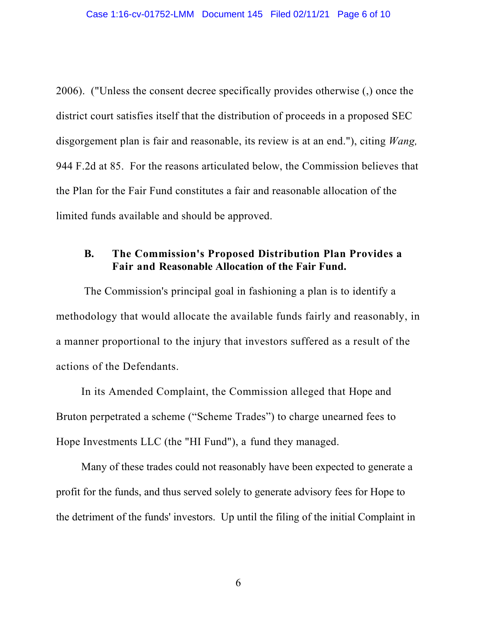2006). ("Unless the consent decree specifically provides otherwise (,) once the district court satisfies itself that the distribution of proceeds in a proposed SEC disgorgement plan is fair and reasonable, its review is at an end."), citing *Wang,*  944 F.2d at 85. For the reasons articulated below, the Commission believes that the Plan for the Fair Fund constitutes a fair and reasonable allocation of the limited funds available and should be approved.

# **B. The Commission's Proposed Distribution Plan Provides a Fair and Reasonable Allocation of the Fair Fund.**

The Commission's principal goal in fashioning a plan is to identify a methodology that would allocate the available funds fairly and reasonably, in a manner proportional to the injury that investors suffered as a result of the actions of the Defendants.

In its Amended Complaint, the Commission alleged that Hope and Bruton perpetrated a scheme ("Scheme Trades") to charge unearned fees to Hope Investments LLC (the "HI Fund"), a fund they managed.

Many of these trades could not reasonably have been expected to generate a profit for the funds, and thus served solely to generate advisory fees for Hope to the detriment of the funds' investors. Up until the filing of the initial Complaint in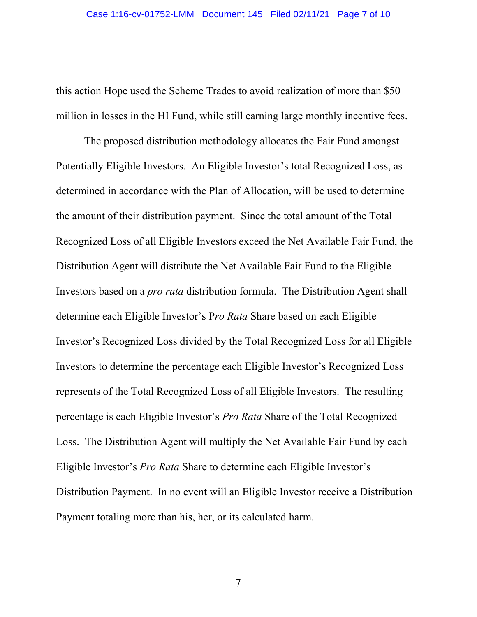this action Hope used the Scheme Trades to avoid realization of more than \$50 million in losses in the HI Fund, while still earning large monthly incentive fees.

The proposed distribution methodology allocates the Fair Fund amongst Potentially Eligible Investors. An Eligible Investor's total Recognized Loss, as determined in accordance with the Plan of Allocation, will be used to determine the amount of their distribution payment. Since the total amount of the Total Recognized Loss of all Eligible Investors exceed the Net Available Fair Fund, the Distribution Agent will distribute the Net Available Fair Fund to the Eligible Investors based on a *pro rata* distribution formula. The Distribution Agent shall determine each Eligible Investor's P*ro Rata* Share based on each Eligible Investor's Recognized Loss divided by the Total Recognized Loss for all Eligible Investors to determine the percentage each Eligible Investor's Recognized Loss represents of the Total Recognized Loss of all Eligible Investors. The resulting percentage is each Eligible Investor's *Pro Rata* Share of the Total Recognized Loss. The Distribution Agent will multiply the Net Available Fair Fund by each Eligible Investor's *Pro Rata* Share to determine each Eligible Investor's Distribution Payment. In no event will an Eligible Investor receive a Distribution Payment totaling more than his, her, or its calculated harm.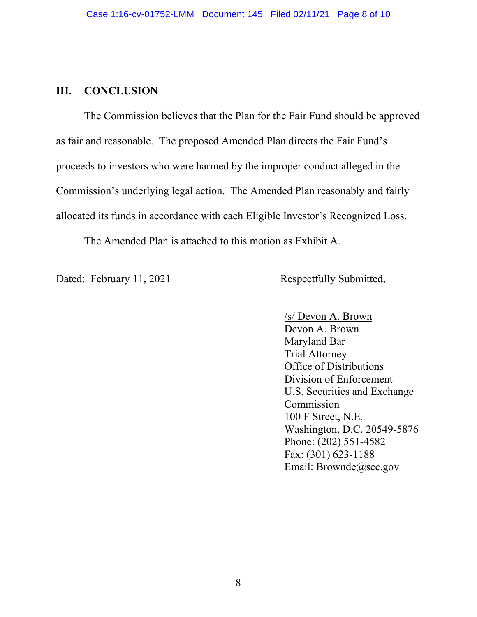#### **III. CONCLUSION**

The Commission believes that the Plan for the Fair Fund should be approved as fair and reasonable. The proposed Amended Plan directs the Fair Fund's proceeds to investors who were harmed by the improper conduct alleged in the Commission's underlying legal action. The Amended Plan reasonably and fairly allocated its funds in accordance with each Eligible Investor's Recognized Loss.

The Amended Plan is attached to this motion as Exhibit A.

Dated: February 11, 2021 Respectfully Submitted,

/s/ Devon A. Brown Devon A. Brown Maryland Bar Trial Attorney Office of Distributions Division of Enforcement U.S. Securities and Exchange Commission 100 F Street, N.E. Washington, D.C. 20549-5876 Phone: (202) 551-4582 Fax: (301) 623-1188 Email: Brownde@sec.gov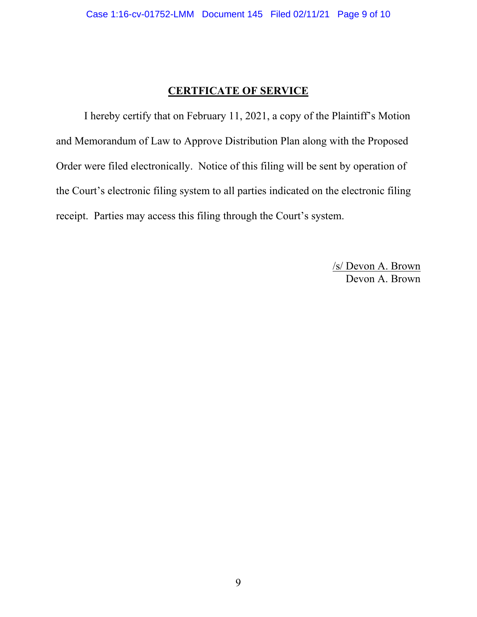### **CERTFICATE OF SERVICE**

I hereby certify that on February 11, 2021, a copy of the Plaintiff's Motion and Memorandum of Law to Approve Distribution Plan along with the Proposed Order were filed electronically. Notice of this filing will be sent by operation of the Court's electronic filing system to all parties indicated on the electronic filing receipt. Parties may access this filing through the Court's system.

> /s/ Devon A. Brown Devon A. Brown